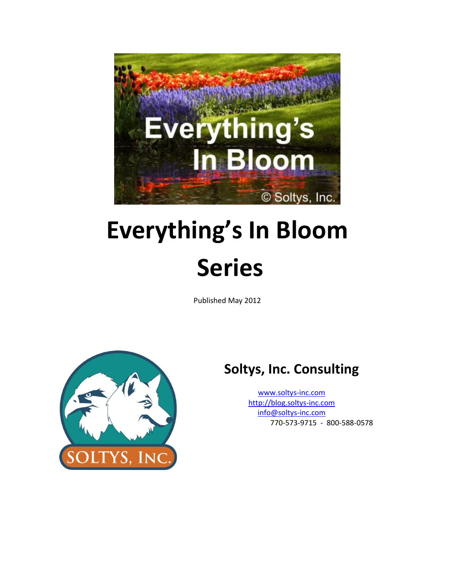

# **Everything's In Bloom Series**

Published May 2012



# **Soltys, Inc. Consulting**

[www.soltys-inc.com](http://www.soltys-inc.com/) [http://blog.soltys-inc.com](http://blog.soltys-inc.com/) [info@soltys-inc.com](mailto:info@soltys-inc.com) 770-573-9715 - 800-588-0578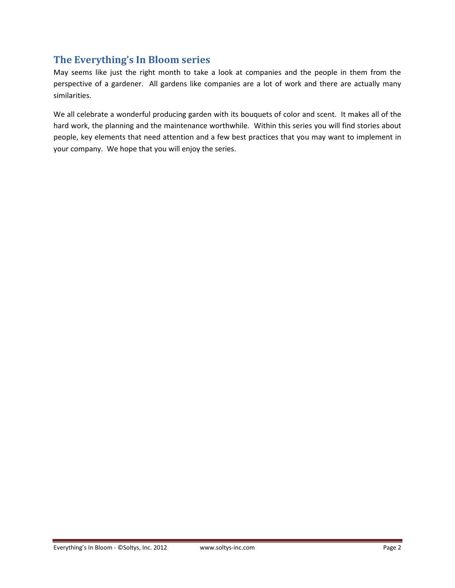# <span id="page-1-0"></span>**The Everything's In Bloom series**

May seems like just the right month to take a look at companies and the people in them from the perspective of a gardener. All gardens like companies are a lot of work and there are actually many similarities.

We all celebrate a wonderful producing garden with its bouquets of color and scent. It makes all of the hard work, the planning and the maintenance worthwhile. Within this series you will find stories about people, key elements that need attention and a few best practices that you may want to implement in your company. We hope that you will enjoy the series.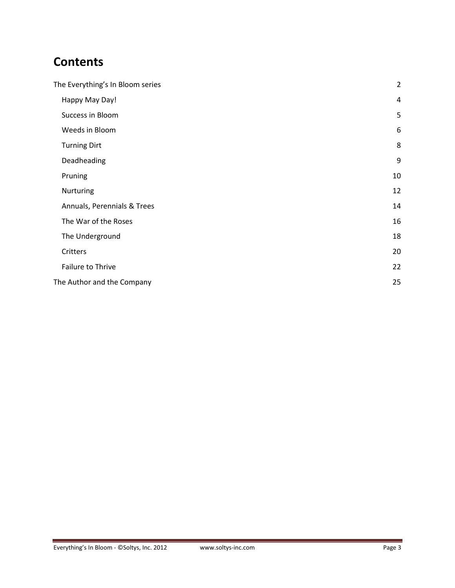# **Contents**

| The Everything's In Bloom series | $\overline{2}$ |
|----------------------------------|----------------|
| Happy May Day!                   | 4              |
| Success in Bloom                 | 5              |
| Weeds in Bloom                   | 6              |
| <b>Turning Dirt</b>              | 8              |
| Deadheading                      | $9\,$          |
| Pruning                          | 10             |
| Nurturing                        | 12             |
| Annuals, Perennials & Trees      | 14             |
| The War of the Roses             | 16             |
| The Underground                  | 18             |
| Critters                         | 20             |
| Failure to Thrive                | 22             |
| The Author and the Company       | 25             |
|                                  |                |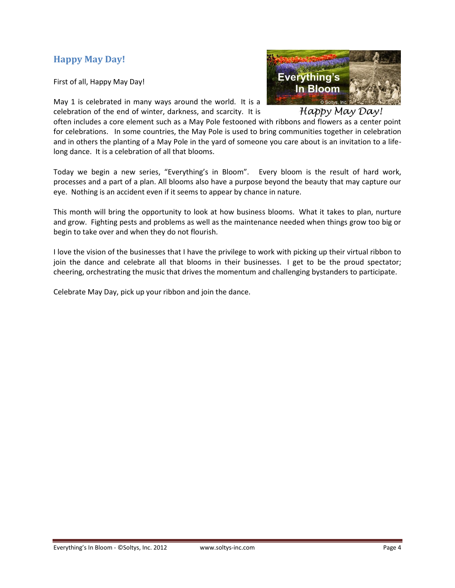# <span id="page-3-0"></span>**Happy May Day!**

First of all, Happy May Day!

May 1 is celebrated in many ways around the world. It is a celebration of the end of winter, darkness, and scarcity. It is



Happy May Day!

often includes a core element such as a May Pole festooned with ribbons and flowers as a center point for celebrations. In some countries, the May Pole is used to bring communities together in celebration and in others the planting of a May Pole in the yard of someone you care about is an invitation to a lifelong dance. It is a celebration of all that blooms.

Today we begin a new series, "Everything's in Bloom". Every bloom is the result of hard work, processes and a part of a plan. All blooms also have a purpose beyond the beauty that may capture our eye. Nothing is an accident even if it seems to appear by chance in nature.

This month will bring the opportunity to look at how business blooms. What it takes to plan, nurture and grow. Fighting pests and problems as well as the maintenance needed when things grow too big or begin to take over and when they do not flourish.

I love the vision of the businesses that I have the privilege to work with picking up their virtual ribbon to join the dance and celebrate all that blooms in their businesses. I get to be the proud spectator; cheering, orchestrating the music that drives the momentum and challenging bystanders to participate.

Celebrate May Day, pick up your ribbon and join the dance.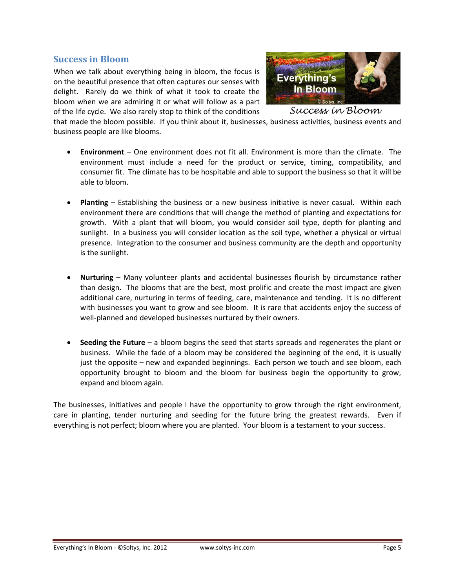#### <span id="page-4-0"></span>**Success in Bloom**

When we talk about everything being in bloom, the focus is on the beautiful presence that often captures our senses with delight. Rarely do we think of what it took to create the bloom when we are admiring it or what will follow as a part of the life cycle. We also rarely stop to think of the conditions



Success in Bloom

that made the bloom possible. If you think about it, businesses, business activities, business events and business people are like blooms.

- **Environment** One environment does not fit all. Environment is more than the climate. The environment must include a need for the product or service, timing, compatibility, and consumer fit. The climate has to be hospitable and able to support the business so that it will be able to bloom.
- **Planting** Establishing the business or a new business initiative is never casual. Within each environment there are conditions that will change the method of planting and expectations for growth. With a plant that will bloom, you would consider soil type, depth for planting and sunlight. In a business you will consider location as the soil type, whether a physical or virtual presence. Integration to the consumer and business community are the depth and opportunity is the sunlight.
- **Nurturing** Many volunteer plants and accidental businesses flourish by circumstance rather than design. The blooms that are the best, most prolific and create the most impact are given additional care, nurturing in terms of feeding, care, maintenance and tending. It is no different with businesses you want to grow and see bloom. It is rare that accidents enjoy the success of well-planned and developed businesses nurtured by their owners.
- **Seeding the Future** a bloom begins the seed that starts spreads and regenerates the plant or business. While the fade of a bloom may be considered the beginning of the end, it is usually just the opposite – new and expanded beginnings. Each person we touch and see bloom, each opportunity brought to bloom and the bloom for business begin the opportunity to grow, expand and bloom again.

The businesses, initiatives and people I have the opportunity to grow through the right environment, care in planting, tender nurturing and seeding for the future bring the greatest rewards. Even if everything is not perfect; bloom where you are planted. Your bloom is a testament to your success.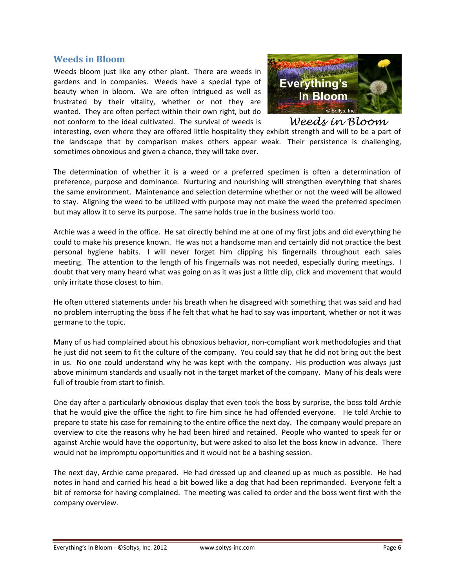#### <span id="page-5-0"></span>**Weeds in Bloom**

Weeds bloom just like any other plant. There are weeds in gardens and in companies. Weeds have a special type of beauty when in bloom. We are often intrigued as well as frustrated by their vitality, whether or not they are wanted. They are often perfect within their own right, but do not conform to the ideal cultivated. The survival of weeds is



Weeds in Bloom

interesting, even where they are offered little hospitality they exhibit strength and will to be a part of the landscape that by comparison makes others appear weak. Their persistence is challenging, sometimes obnoxious and given a chance, they will take over.

The determination of whether it is a weed or a preferred specimen is often a determination of preference, purpose and dominance. Nurturing and nourishing will strengthen everything that shares the same environment. Maintenance and selection determine whether or not the weed will be allowed to stay. Aligning the weed to be utilized with purpose may not make the weed the preferred specimen but may allow it to serve its purpose. The same holds true in the business world too.

Archie was a weed in the office. He sat directly behind me at one of my first jobs and did everything he could to make his presence known. He was not a handsome man and certainly did not practice the best personal hygiene habits. I will never forget him clipping his fingernails throughout each sales meeting. The attention to the length of his fingernails was not needed, especially during meetings. I doubt that very many heard what was going on as it was just a little clip, click and movement that would only irritate those closest to him.

He often uttered statements under his breath when he disagreed with something that was said and had no problem interrupting the boss if he felt that what he had to say was important, whether or not it was germane to the topic.

Many of us had complained about his obnoxious behavior, non-compliant work methodologies and that he just did not seem to fit the culture of the company. You could say that he did not bring out the best in us. No one could understand why he was kept with the company. His production was always just above minimum standards and usually not in the target market of the company. Many of his deals were full of trouble from start to finish.

One day after a particularly obnoxious display that even took the boss by surprise, the boss told Archie that he would give the office the right to fire him since he had offended everyone. He told Archie to prepare to state his case for remaining to the entire office the next day. The company would prepare an overview to cite the reasons why he had been hired and retained. People who wanted to speak for or against Archie would have the opportunity, but were asked to also let the boss know in advance. There would not be impromptu opportunities and it would not be a bashing session.

The next day, Archie came prepared. He had dressed up and cleaned up as much as possible. He had notes in hand and carried his head a bit bowed like a dog that had been reprimanded. Everyone felt a bit of remorse for having complained. The meeting was called to order and the boss went first with the company overview.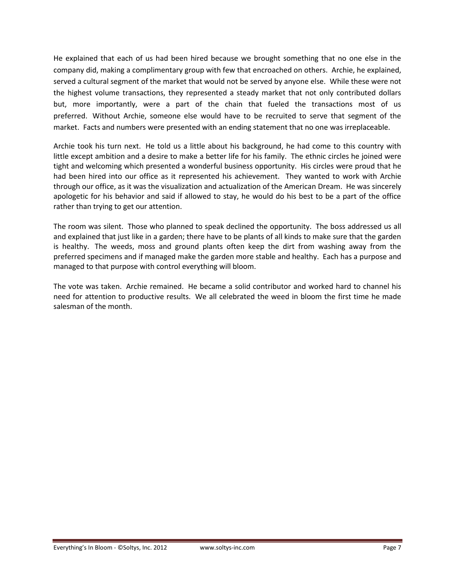He explained that each of us had been hired because we brought something that no one else in the company did, making a complimentary group with few that encroached on others. Archie, he explained, served a cultural segment of the market that would not be served by anyone else. While these were not the highest volume transactions, they represented a steady market that not only contributed dollars but, more importantly, were a part of the chain that fueled the transactions most of us preferred. Without Archie, someone else would have to be recruited to serve that segment of the market. Facts and numbers were presented with an ending statement that no one was irreplaceable.

Archie took his turn next. He told us a little about his background, he had come to this country with little except ambition and a desire to make a better life for his family. The ethnic circles he joined were tight and welcoming which presented a wonderful business opportunity. His circles were proud that he had been hired into our office as it represented his achievement. They wanted to work with Archie through our office, as it was the visualization and actualization of the American Dream. He was sincerely apologetic for his behavior and said if allowed to stay, he would do his best to be a part of the office rather than trying to get our attention.

The room was silent. Those who planned to speak declined the opportunity. The boss addressed us all and explained that just like in a garden; there have to be plants of all kinds to make sure that the garden is healthy. The weeds, moss and ground plants often keep the dirt from washing away from the preferred specimens and if managed make the garden more stable and healthy. Each has a purpose and managed to that purpose with control everything will bloom.

The vote was taken. Archie remained. He became a solid contributor and worked hard to channel his need for attention to productive results. We all celebrated the weed in bloom the first time he made salesman of the month.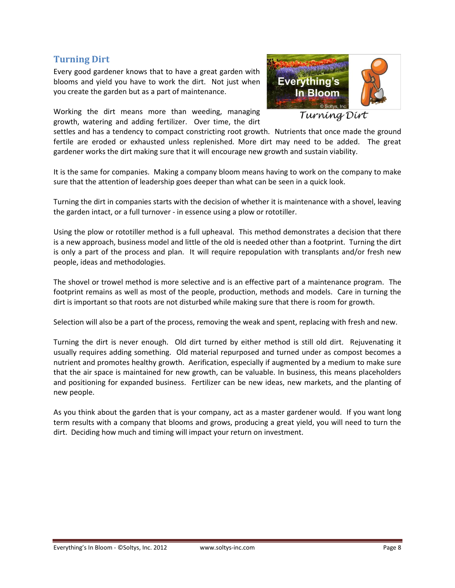## <span id="page-7-0"></span>**Turning Dirt**

Every good gardener knows that to have a great garden with blooms and yield you have to work the dirt. Not just when you create the garden but as a part of maintenance.

Working the dirt means more than weeding, managing growth, watering and adding fertilizer. Over time, the dirt



Turníng Dírt

settles and has a tendency to compact constricting root growth. Nutrients that once made the ground fertile are eroded or exhausted unless replenished. More dirt may need to be added. The great gardener works the dirt making sure that it will encourage new growth and sustain viability.

It is the same for companies. Making a company bloom means having to work on the company to make sure that the attention of leadership goes deeper than what can be seen in a quick look.

Turning the dirt in companies starts with the decision of whether it is maintenance with a shovel, leaving the garden intact, or a full turnover - in essence using a plow or rototiller.

Using the plow or rototiller method is a full upheaval. This method demonstrates a decision that there is a new approach, business model and little of the old is needed other than a footprint. Turning the dirt is only a part of the process and plan. It will require repopulation with transplants and/or fresh new people, ideas and methodologies.

The shovel or trowel method is more selective and is an effective part of a maintenance program. The footprint remains as well as most of the people, production, methods and models. Care in turning the dirt is important so that roots are not disturbed while making sure that there is room for growth.

Selection will also be a part of the process, removing the weak and spent, replacing with fresh and new.

Turning the dirt is never enough. Old dirt turned by either method is still old dirt. Rejuvenating it usually requires adding something. Old material repurposed and turned under as compost becomes a nutrient and promotes healthy growth. Aerification, especially if augmented by a medium to make sure that the air space is maintained for new growth, can be valuable. In business, this means placeholders and positioning for expanded business. Fertilizer can be new ideas, new markets, and the planting of new people.

As you think about the garden that is your company, act as a master gardener would. If you want long term results with a company that blooms and grows, producing a great yield, you will need to turn the dirt. Deciding how much and timing will impact your return on investment.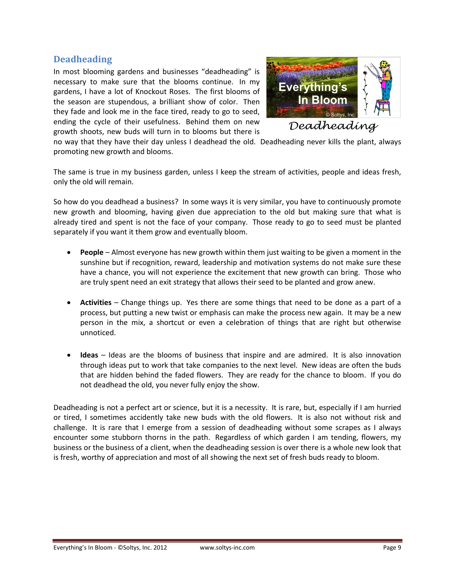#### <span id="page-8-0"></span>**Deadheading**

In most blooming gardens and businesses "deadheading" is necessary to make sure that the blooms continue. In my gardens, I have a lot of Knockout Roses. The first blooms of the season are stupendous, a brilliant show of color. Then they fade and look me in the face tired, ready to go to seed, ending the cycle of their usefulness. Behind them on new growth shoots, new buds will turn in to blooms but there is



Deadheading

no way that they have their day unless I deadhead the old. Deadheading never kills the plant, always promoting new growth and blooms.

The same is true in my business garden, unless I keep the stream of activities, people and ideas fresh, only the old will remain.

So how do you deadhead a business? In some ways it is very similar, you have to continuously promote new growth and blooming, having given due appreciation to the old but making sure that what is already tired and spent is not the face of your company. Those ready to go to seed must be planted separately if you want it them grow and eventually bloom.

- **People** Almost everyone has new growth within them just waiting to be given a moment in the sunshine but if recognition, reward, leadership and motivation systems do not make sure these have a chance, you will not experience the excitement that new growth can bring. Those who are truly spent need an exit strategy that allows their seed to be planted and grow anew.
- **Activities** Change things up. Yes there are some things that need to be done as a part of a process, but putting a new twist or emphasis can make the process new again. It may be a new person in the mix, a shortcut or even a celebration of things that are right but otherwise unnoticed.
- **Ideas** Ideas are the blooms of business that inspire and are admired. It is also innovation through ideas put to work that take companies to the next level. New ideas are often the buds that are hidden behind the faded flowers. They are ready for the chance to bloom. If you do not deadhead the old, you never fully enjoy the show.

Deadheading is not a perfect art or science, but it is a necessity. It is rare, but, especially if I am hurried or tired, I sometimes accidently take new buds with the old flowers. It is also not without risk and challenge. It is rare that I emerge from a session of deadheading without some scrapes as I always encounter some stubborn thorns in the path. Regardless of which garden I am tending, flowers, my business or the business of a client, when the deadheading session is over there is a whole new look that is fresh, worthy of appreciation and most of all showing the next set of fresh buds ready to bloom.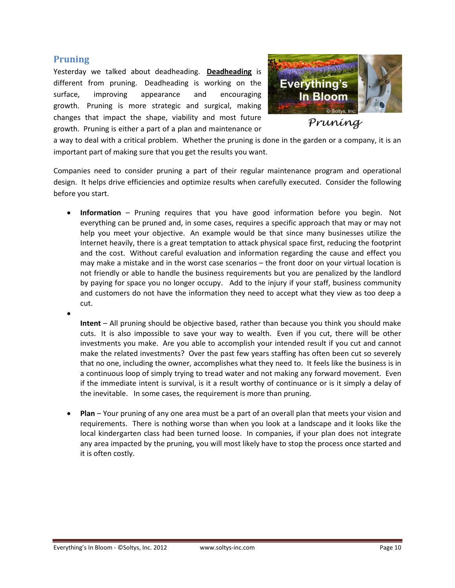#### <span id="page-9-0"></span>**Pruning**

 $\bullet$ 

Yesterday we talked about deadheading. **[Deadheading](#page-8-0)** is different from pruning. Deadheading is working on the surface, improving appearance and encouraging growth. Pruning is more strategic and surgical, making changes that impact the shape, viability and most future growth. Pruning is either a part of a plan and maintenance or



Pruning

a way to deal with a critical problem. Whether the pruning is done in the garden or a company, it is an important part of making sure that you get the results you want.

Companies need to consider pruning a part of their regular maintenance program and operational design. It helps drive efficiencies and optimize results when carefully executed. Consider the following before you start.

 **Information** – Pruning requires that you have good information before you begin. Not everything can be pruned and, in some cases, requires a specific approach that may or may not help you meet your objective. An example would be that since many businesses utilize the Internet heavily, there is a great temptation to attack physical space first, reducing the footprint and the cost. Without careful evaluation and information regarding the cause and effect you may make a mistake and in the worst case scenarios – the front door on your virtual location is not friendly or able to handle the business requirements but you are penalized by the landlord by paying for space you no longer occupy. Add to the injury if your staff, business community and customers do not have the information they need to accept what they view as too deep a cut.

**Intent** – All pruning should be objective based, rather than because you think you should make cuts. It is also impossible to save your way to wealth. Even if you cut, there will be other investments you make. Are you able to accomplish your intended result if you cut and cannot make the related investments? Over the past few years staffing has often been cut so severely that no one, including the owner, accomplishes what they need to. It feels like the business is in a continuous loop of simply trying to tread water and not making any forward movement. Even if the immediate intent is survival, is it a result worthy of continuance or is it simply a delay of the inevitable. In some cases, the requirement is more than pruning.

 **Plan** – Your pruning of any one area must be a part of an overall plan that meets your vision and requirements. There is nothing worse than when you look at a landscape and it looks like the local kindergarten class had been turned loose. In companies, if your plan does not integrate any area impacted by the pruning, you will most likely have to stop the process once started and it is often costly.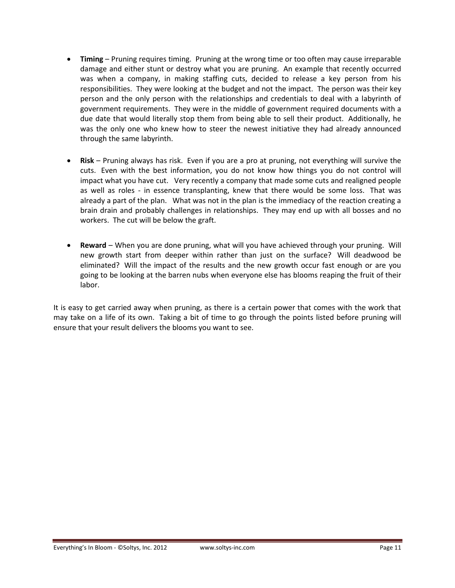- **Timing** Pruning requires timing. Pruning at the wrong time or too often may cause irreparable damage and either stunt or destroy what you are pruning. An example that recently occurred was when a company, in making staffing cuts, decided to release a key person from his responsibilities. They were looking at the budget and not the impact. The person was their key person and the only person with the relationships and credentials to deal with a labyrinth of government requirements. They were in the middle of government required documents with a due date that would literally stop them from being able to sell their product. Additionally, he was the only one who knew how to steer the newest initiative they had already announced through the same labyrinth.
- **Risk** Pruning always has risk. Even if you are a pro at pruning, not everything will survive the cuts. Even with the best information, you do not know how things you do not control will impact what you have cut. Very recently a company that made some cuts and realigned people as well as roles - in essence transplanting, knew that there would be some loss. That was already a part of the plan. What was not in the plan is the immediacy of the reaction creating a brain drain and probably challenges in relationships. They may end up with all bosses and no workers. The cut will be below the graft.
- **Reward** When you are done pruning, what will you have achieved through your pruning. Will new growth start from deeper within rather than just on the surface? Will deadwood be eliminated? Will the impact of the results and the new growth occur fast enough or are you going to be looking at the barren nubs when everyone else has blooms reaping the fruit of their labor.

It is easy to get carried away when pruning, as there is a certain power that comes with the work that may take on a life of its own. Taking a bit of time to go through the points listed before pruning will ensure that your result delivers the blooms you want to see.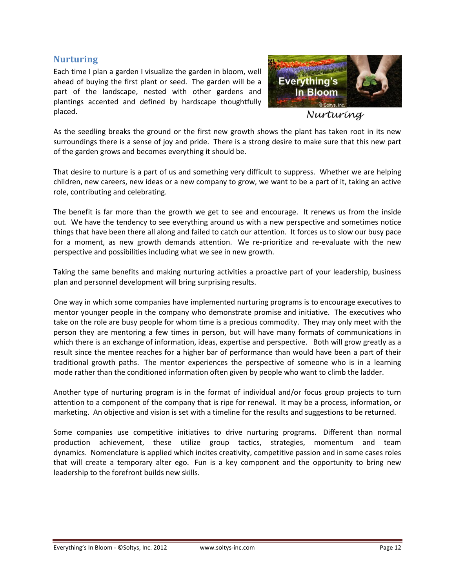#### <span id="page-11-0"></span>**Nurturing**

Each time I plan a garden I visualize the garden in bloom, well ahead of buying the first plant or seed. The garden will be a part of the landscape, nested with other gardens and plantings accented and defined by hardscape thoughtfully placed.



Nurturing

As the seedling breaks the ground or the first new growth shows the plant has taken root in its new surroundings there is a sense of joy and pride. There is a strong desire to make sure that this new part of the garden grows and becomes everything it should be.

That desire to nurture is a part of us and something very difficult to suppress. Whether we are helping children, new careers, new ideas or a new company to grow, we want to be a part of it, taking an active role, contributing and celebrating.

The benefit is far more than the growth we get to see and encourage. It renews us from the inside out. We have the tendency to see everything around us with a new perspective and sometimes notice things that have been there all along and failed to catch our attention. It forces us to slow our busy pace for a moment, as new growth demands attention. We re-prioritize and re-evaluate with the new perspective and possibilities including what we see in new growth.

Taking the same benefits and making nurturing activities a proactive part of your leadership, business plan and personnel development will bring surprising results.

One way in which some companies have implemented nurturing programs is to encourage executives to mentor younger people in the company who demonstrate promise and initiative. The executives who take on the role are busy people for whom time is a precious commodity. They may only meet with the person they are mentoring a few times in person, but will have many formats of communications in which there is an exchange of information, ideas, expertise and perspective. Both will grow greatly as a result since the mentee reaches for a higher bar of performance than would have been a part of their traditional growth paths. The mentor experiences the perspective of someone who is in a learning mode rather than the conditioned information often given by people who want to climb the ladder.

Another type of nurturing program is in the format of individual and/or focus group projects to turn attention to a component of the company that is ripe for renewal. It may be a process, information, or marketing. An objective and vision is set with a timeline for the results and suggestions to be returned.

Some companies use competitive initiatives to drive nurturing programs. Different than normal production achievement, these utilize group tactics, strategies, momentum and team dynamics. Nomenclature is applied which incites creativity, competitive passion and in some cases roles that will create a temporary alter ego. Fun is a key component and the opportunity to bring new leadership to the forefront builds new skills.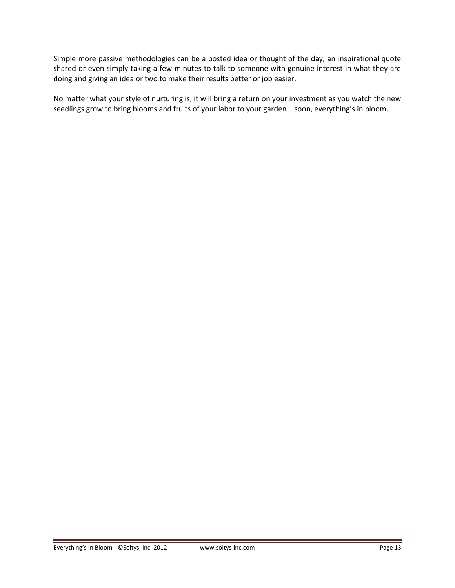Simple more passive methodologies can be a posted idea or thought of the day, an inspirational quote shared or even simply taking a few minutes to talk to someone with genuine interest in what they are doing and giving an idea or two to make their results better or job easier.

No matter what your style of nurturing is, it will bring a return on your investment as you watch the new seedlings grow to bring blooms and fruits of your labor to your garden – soon, everything's in bloom.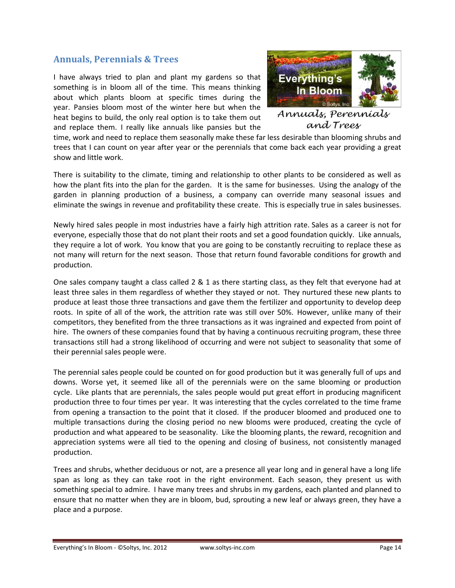## <span id="page-13-0"></span>**Annuals, Perennials & Trees**

I have always tried to plan and plant my gardens so that something is in bloom all of the time. This means thinking about which plants bloom at specific times during the year. Pansies bloom most of the winter here but when the heat begins to build, the only real option is to take them out and replace them. I really like annuals like pansies but the



Annuats, Perenniats and Trees

time, work and need to replace them seasonally make these far less desirable than blooming shrubs and trees that I can count on year after year or the perennials that come back each year providing a great show and little work.

There is suitability to the climate, timing and relationship to other plants to be considered as well as how the plant fits into the plan for the garden. It is the same for businesses. Using the analogy of the garden in planning production of a business, a company can override many seasonal issues and eliminate the swings in revenue and profitability these create. This is especially true in sales businesses.

Newly hired sales people in most industries have a fairly high attrition rate. Sales as a career is not for everyone, especially those that do not plant their roots and set a good foundation quickly. Like annuals, they require a lot of work. You know that you are going to be constantly recruiting to replace these as not many will return for the next season. Those that return found favorable conditions for growth and production.

One sales company taught a class called 2 & 1 as there starting class, as they felt that everyone had at least three sales in them regardless of whether they stayed or not. They nurtured these new plants to produce at least those three transactions and gave them the fertilizer and opportunity to develop deep roots. In spite of all of the work, the attrition rate was still over 50%. However, unlike many of their competitors, they benefited from the three transactions as it was ingrained and expected from point of hire. The owners of these companies found that by having a continuous recruiting program, these three transactions still had a strong likelihood of occurring and were not subject to seasonality that some of their perennial sales people were.

The perennial sales people could be counted on for good production but it was generally full of ups and downs. Worse yet, it seemed like all of the perennials were on the same blooming or production cycle. Like plants that are perennials, the sales people would put great effort in producing magnificent production three to four times per year. It was interesting that the cycles correlated to the time frame from opening a transaction to the point that it closed. If the producer bloomed and produced one to multiple transactions during the closing period no new blooms were produced, creating the cycle of production and what appeared to be seasonality. Like the blooming plants, the reward, recognition and appreciation systems were all tied to the opening and closing of business, not consistently managed production.

Trees and shrubs, whether deciduous or not, are a presence all year long and in general have a long life span as long as they can take root in the right environment. Each season, they present us with something special to admire. I have many trees and shrubs in my gardens, each planted and planned to ensure that no matter when they are in bloom, bud, sprouting a new leaf or always green, they have a place and a purpose.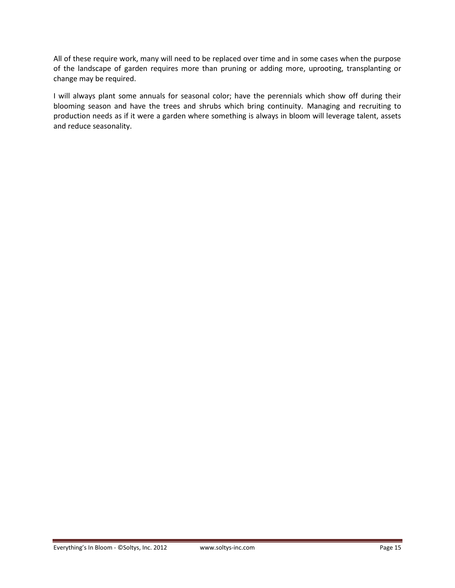All of these require work, many will need to be replaced over time and in some cases when the purpose of the landscape of garden requires more than pruning or adding more, uprooting, transplanting or change may be required.

I will always plant some annuals for seasonal color; have the perennials which show off during their blooming season and have the trees and shrubs which bring continuity. Managing and recruiting to production needs as if it were a garden where something is always in bloom will leverage talent, assets and reduce seasonality.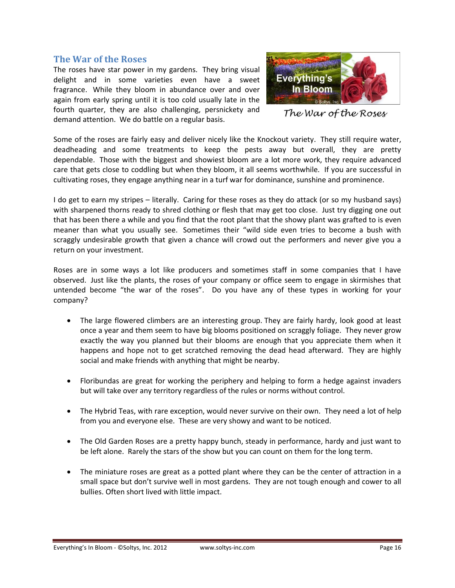#### <span id="page-15-0"></span>**The War of the Roses**

The roses have star power in my gardens. They bring visual delight and in some varieties even have a sweet fragrance. While they bloom in abundance over and over again from early spring until it is too cold usually late in the fourth quarter, they are also challenging, persnickety and demand attention. We do battle on a regular basis.



The War of the Roses

Some of the roses are fairly easy and deliver nicely like the Knockout variety. They still require water, deadheading and some treatments to keep the pests away but overall, they are pretty dependable. Those with the biggest and showiest bloom are a lot more work, they require advanced care that gets close to coddling but when they bloom, it all seems worthwhile. If you are successful in cultivating roses, they engage anything near in a turf war for dominance, sunshine and prominence.

I do get to earn my stripes – literally. Caring for these roses as they do attack (or so my husband says) with sharpened thorns ready to shred clothing or flesh that may get too close. Just try digging one out that has been there a while and you find that the root plant that the showy plant was grafted to is even meaner than what you usually see. Sometimes their "wild side even tries to become a bush with scraggly undesirable growth that given a chance will crowd out the performers and never give you a return on your investment.

Roses are in some ways a lot like producers and sometimes staff in some companies that I have observed. Just like the plants, the roses of your company or office seem to engage in skirmishes that untended become "the war of the roses". Do you have any of these types in working for your company?

- The large flowered climbers are an interesting group. They are fairly hardy, look good at least once a year and them seem to have big blooms positioned on scraggly foliage. They never grow exactly the way you planned but their blooms are enough that you appreciate them when it happens and hope not to get scratched removing the dead head afterward. They are highly social and make friends with anything that might be nearby.
- Floribundas are great for working the periphery and helping to form a hedge against invaders but will take over any territory regardless of the rules or norms without control.
- The Hybrid Teas, with rare exception, would never survive on their own. They need a lot of help from you and everyone else. These are very showy and want to be noticed.
- The Old Garden Roses are a pretty happy bunch, steady in performance, hardy and just want to be left alone. Rarely the stars of the show but you can count on them for the long term.
- The miniature roses are great as a potted plant where they can be the center of attraction in a small space but don't survive well in most gardens. They are not tough enough and cower to all bullies. Often short lived with little impact.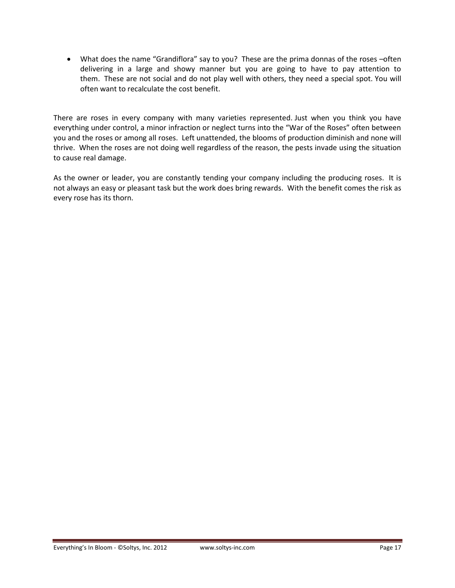What does the name "Grandiflora" say to you? These are the prima donnas of the roses –often delivering in a large and showy manner but you are going to have to pay attention to them. These are not social and do not play well with others, they need a special spot. You will often want to recalculate the cost benefit.

There are roses in every company with many varieties represented. Just when you think you have everything under control, a minor infraction or neglect turns into the "War of the Roses" often between you and the roses or among all roses. Left unattended, the blooms of production diminish and none will thrive. When the roses are not doing well regardless of the reason, the pests invade using the situation to cause real damage.

As the owner or leader, you are constantly tending your company including the producing roses. It is not always an easy or pleasant task but the work does bring rewards. With the benefit comes the risk as every rose has its thorn.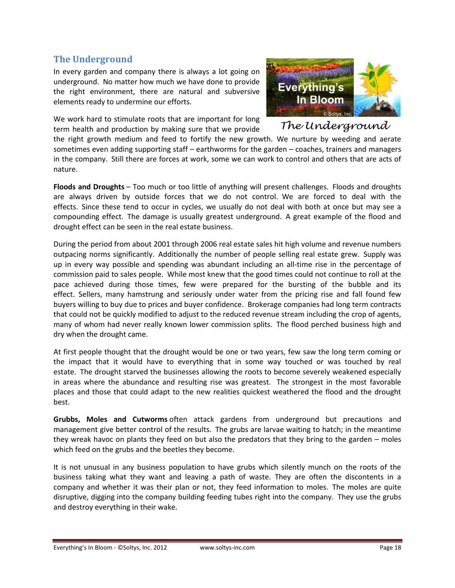## <span id="page-17-0"></span>**The Underground**

In every garden and company there is always a lot going on underground. No matter how much we have done to provide the right environment, there are natural and subversive elements ready to undermine our efforts.

We work hard to stimulate roots that are important for long term health and production by making sure that we provide



The underground

the right growth medium and feed to fortify the new growth. We nurture by weeding and aerate sometimes even adding supporting staff – earthworms for the garden – coaches, trainers and managers in the company. Still there are forces at work, some we can work to control and others that are acts of nature.

**Floods and Droughts** – Too much or too little of anything will present challenges. Floods and droughts are always driven by outside forces that we do not control. We are forced to deal with the effects. Since these tend to occur in cycles, we usually do not deal with both at once but may see a compounding effect. The damage is usually greatest underground. A great example of the flood and drought effect can be seen in the real estate business.

During the period from about 2001 through 2006 real estate sales hit high volume and revenue numbers outpacing norms significantly. Additionally the number of people selling real estate grew. Supply was up in every way possible and spending was abundant including an all-time rise in the percentage of commission paid to sales people. While most knew that the good times could not continue to roll at the pace achieved during those times, few were prepared for the bursting of the bubble and its effect. Sellers, many hamstrung and seriously under water from the pricing rise and fall found few buyers willing to buy due to prices and buyer confidence. Brokerage companies had long term contracts that could not be quickly modified to adjust to the reduced revenue stream including the crop of agents, many of whom had never really known lower commission splits. The flood perched business high and dry when the drought came.

At first people thought that the drought would be one or two years, few saw the long term coming or the impact that it would have to everything that in some way touched or was touched by real estate. The drought starved the businesses allowing the roots to become severely weakened especially in areas where the abundance and resulting rise was greatest. The strongest in the most favorable places and those that could adapt to the new realities quickest weathered the flood and the drought best.

**Grubbs, Moles and Cutworms** often attack gardens from underground but precautions and management give better control of the results. The grubs are larvae waiting to hatch; in the meantime they wreak havoc on plants they feed on but also the predators that they bring to the garden – moles which feed on the grubs and the beetles they become.

It is not unusual in any business population to have grubs which silently munch on the roots of the business taking what they want and leaving a path of waste. They are often the discontents in a company and whether it was their plan or not, they feed information to moles. The moles are quite disruptive, digging into the company building feeding tubes right into the company. They use the grubs and destroy everything in their wake.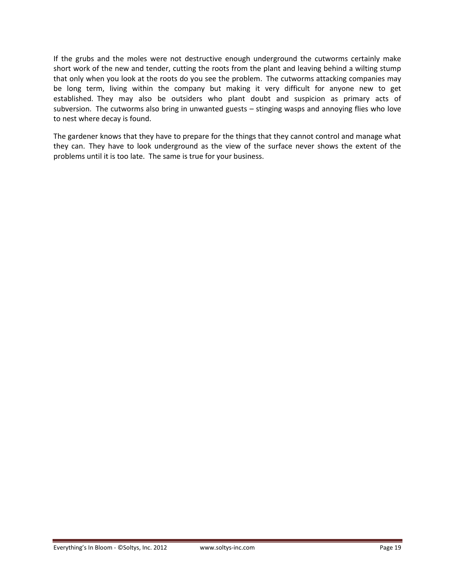If the grubs and the moles were not destructive enough underground the cutworms certainly make short work of the new and tender, cutting the roots from the plant and leaving behind a wilting stump that only when you look at the roots do you see the problem. The cutworms attacking companies may be long term, living within the company but making it very difficult for anyone new to get established. They may also be outsiders who plant doubt and suspicion as primary acts of subversion. The cutworms also bring in unwanted guests – stinging wasps and annoying flies who love to nest where decay is found.

The gardener knows that they have to prepare for the things that they cannot control and manage what they can. They have to look underground as the view of the surface never shows the extent of the problems until it is too late. The same is true for your business.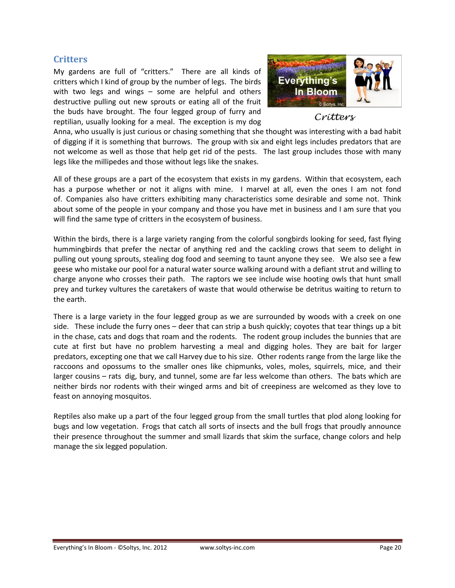#### <span id="page-19-0"></span>**Critters**

My gardens are full of "critters." There are all kinds of critters which I kind of group by the number of legs. The birds with two legs and wings – some are helpful and others destructive pulling out new sprouts or eating all of the fruit the buds have brought. The four legged group of furry and reptilian, usually looking for a meal. The exception is my dog



Critters

Anna, who usually is just curious or chasing something that she thought was interesting with a bad habit of digging if it is something that burrows. The group with six and eight legs includes predators that are not welcome as well as those that help get rid of the pests. The last group includes those with many legs like the millipedes and those without legs like the snakes.

All of these groups are a part of the ecosystem that exists in my gardens. Within that ecosystem, each has a purpose whether or not it aligns with mine. I marvel at all, even the ones I am not fond of. Companies also have critters exhibiting many characteristics some desirable and some not. Think about some of the people in your company and those you have met in business and I am sure that you will find the same type of critters in the ecosystem of business.

Within the birds, there is a large variety ranging from the colorful songbirds looking for seed, fast flying hummingbirds that prefer the nectar of anything red and the cackling crows that seem to delight in pulling out young sprouts, stealing dog food and seeming to taunt anyone they see. We also see a few geese who mistake our pool for a natural water source walking around with a defiant strut and willing to charge anyone who crosses their path. The raptors we see include wise hooting owls that hunt small prey and turkey vultures the caretakers of waste that would otherwise be detritus waiting to return to the earth.

There is a large variety in the four legged group as we are surrounded by woods with a creek on one side. These include the furry ones – deer that can strip a bush quickly; coyotes that tear things up a bit in the chase, cats and dogs that roam and the rodents. The rodent group includes the bunnies that are cute at first but have no problem harvesting a meal and digging holes. They are bait for larger predators, excepting one that we call Harvey due to his size. Other rodents range from the large like the raccoons and opossums to the smaller ones like chipmunks, voles, moles, squirrels, mice, and their larger cousins – rats dig, bury, and tunnel, some are far less welcome than others. The bats which are neither birds nor rodents with their winged arms and bit of creepiness are welcomed as they love to feast on annoying mosquitos.

Reptiles also make up a part of the four legged group from the small turtles that plod along looking for bugs and low vegetation. Frogs that catch all sorts of insects and the bull frogs that proudly announce their presence throughout the summer and small lizards that skim the surface, change colors and help manage the six legged population.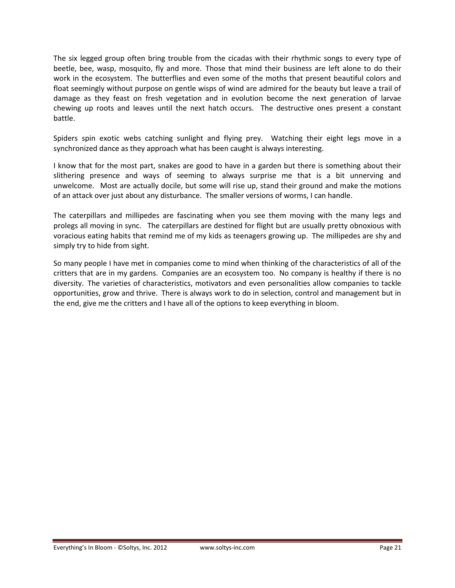The six legged group often bring trouble from the cicadas with their rhythmic songs to every type of beetle, bee, wasp, mosquito, fly and more. Those that mind their business are left alone to do their work in the ecosystem. The butterflies and even some of the moths that present beautiful colors and float seemingly without purpose on gentle wisps of wind are admired for the beauty but leave a trail of damage as they feast on fresh vegetation and in evolution become the next generation of larvae chewing up roots and leaves until the next hatch occurs. The destructive ones present a constant battle.

Spiders spin exotic webs catching sunlight and flying prey. Watching their eight legs move in a synchronized dance as they approach what has been caught is always interesting.

I know that for the most part, snakes are good to have in a garden but there is something about their slithering presence and ways of seeming to always surprise me that is a bit unnerving and unwelcome. Most are actually docile, but some will rise up, stand their ground and make the motions of an attack over just about any disturbance. The smaller versions of worms, I can handle.

The caterpillars and millipedes are fascinating when you see them moving with the many legs and prolegs all moving in sync. The caterpillars are destined for flight but are usually pretty obnoxious with voracious eating habits that remind me of my kids as teenagers growing up. The millipedes are shy and simply try to hide from sight.

So many people I have met in companies come to mind when thinking of the characteristics of all of the critters that are in my gardens. Companies are an ecosystem too. No company is healthy if there is no diversity. The varieties of characteristics, motivators and even personalities allow companies to tackle opportunities, grow and thrive. There is always work to do in selection, control and management but in the end, give me the critters and I have all of the options to keep everything in bloom.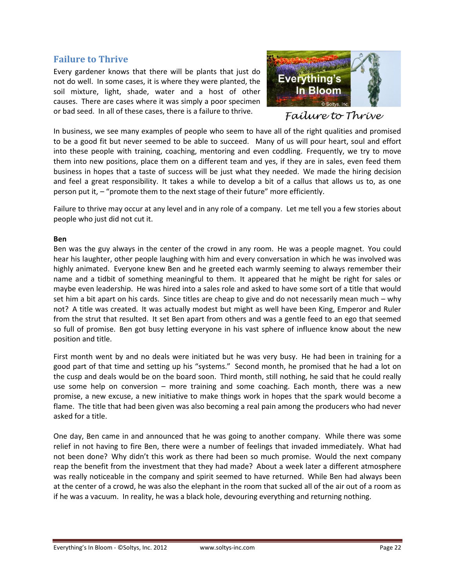#### <span id="page-21-0"></span>**Failure to Thrive**

Every gardener knows that there will be plants that just do not do well. In some cases, it is where they were planted, the soil mixture, light, shade, water and a host of other causes. There are cases where it was simply a poor specimen or bad seed. In all of these cases, there is a failure to thrive.



Failure to Thrive

In business, we see many examples of people who seem to have all of the right qualities and promised to be a good fit but never seemed to be able to succeed. Many of us will pour heart, soul and effort into these people with training, coaching, mentoring and even coddling. Frequently, we try to move them into new positions, place them on a different team and yes, if they are in sales, even feed them business in hopes that a taste of success will be just what they needed. We made the hiring decision and feel a great responsibility. It takes a while to develop a bit of a callus that allows us to, as one person put it, – "promote them to the next stage of their future" more efficiently.

Failure to thrive may occur at any level and in any role of a company. Let me tell you a few stories about people who just did not cut it.

#### **Ben**

Ben was the guy always in the center of the crowd in any room. He was a people magnet. You could hear his laughter, other people laughing with him and every conversation in which he was involved was highly animated. Everyone knew Ben and he greeted each warmly seeming to always remember their name and a tidbit of something meaningful to them. It appeared that he might be right for sales or maybe even leadership. He was hired into a sales role and asked to have some sort of a title that would set him a bit apart on his cards. Since titles are cheap to give and do not necessarily mean much – why not? A title was created. It was actually modest but might as well have been King, Emperor and Ruler from the strut that resulted. It set Ben apart from others and was a gentle feed to an ego that seemed so full of promise. Ben got busy letting everyone in his vast sphere of influence know about the new position and title.

First month went by and no deals were initiated but he was very busy. He had been in training for a good part of that time and setting up his "systems." Second month, he promised that he had a lot on the cusp and deals would be on the board soon. Third month, still nothing, he said that he could really use some help on conversion – more training and some coaching. Each month, there was a new promise, a new excuse, a new initiative to make things work in hopes that the spark would become a flame. The title that had been given was also becoming a real pain among the producers who had never asked for a title.

One day, Ben came in and announced that he was going to another company. While there was some relief in not having to fire Ben, there were a number of feelings that invaded immediately. What had not been done? Why didn't this work as there had been so much promise. Would the next company reap the benefit from the investment that they had made? About a week later a different atmosphere was really noticeable in the company and spirit seemed to have returned. While Ben had always been at the center of a crowd, he was also the elephant in the room that sucked all of the air out of a room as if he was a vacuum. In reality, he was a black hole, devouring everything and returning nothing.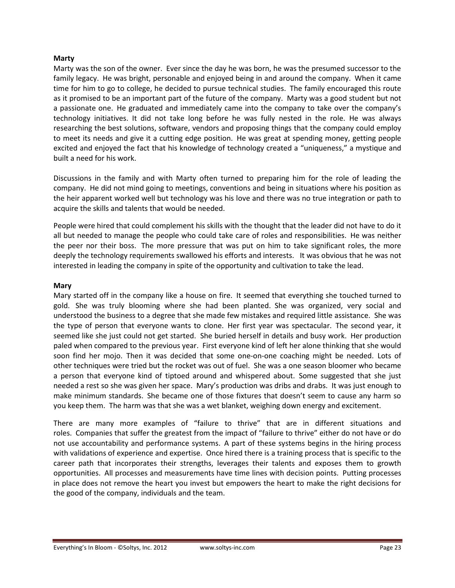#### **Marty**

Marty was the son of the owner. Ever since the day he was born, he was the presumed successor to the family legacy. He was bright, personable and enjoyed being in and around the company. When it came time for him to go to college, he decided to pursue technical studies. The family encouraged this route as it promised to be an important part of the future of the company. Marty was a good student but not a passionate one. He graduated and immediately came into the company to take over the company's technology initiatives. It did not take long before he was fully nested in the role. He was always researching the best solutions, software, vendors and proposing things that the company could employ to meet its needs and give it a cutting edge position. He was great at spending money, getting people excited and enjoyed the fact that his knowledge of technology created a "uniqueness," a mystique and built a need for his work.

Discussions in the family and with Marty often turned to preparing him for the role of leading the company. He did not mind going to meetings, conventions and being in situations where his position as the heir apparent worked well but technology was his love and there was no true integration or path to acquire the skills and talents that would be needed.

People were hired that could complement his skills with the thought that the leader did not have to do it all but needed to manage the people who could take care of roles and responsibilities. He was neither the peer nor their boss. The more pressure that was put on him to take significant roles, the more deeply the technology requirements swallowed his efforts and interests. It was obvious that he was not interested in leading the company in spite of the opportunity and cultivation to take the lead.

#### **Mary**

Mary started off in the company like a house on fire. It seemed that everything she touched turned to gold. She was truly blooming where she had been planted. She was organized, very social and understood the business to a degree that she made few mistakes and required little assistance. She was the type of person that everyone wants to clone. Her first year was spectacular. The second year, it seemed like she just could not get started. She buried herself in details and busy work. Her production paled when compared to the previous year. First everyone kind of left her alone thinking that she would soon find her mojo. Then it was decided that some one-on-one coaching might be needed. Lots of other techniques were tried but the rocket was out of fuel. She was a one season bloomer who became a person that everyone kind of tiptoed around and whispered about. Some suggested that she just needed a rest so she was given her space. Mary's production was dribs and drabs. It was just enough to make minimum standards. She became one of those fixtures that doesn't seem to cause any harm so you keep them. The harm was that she was a wet blanket, weighing down energy and excitement.

There are many more examples of "failure to thrive" that are in different situations and roles. Companies that suffer the greatest from the impact of "failure to thrive" either do not have or do not use accountability and performance systems. A part of these systems begins in the hiring process with validations of experience and expertise. Once hired there is a training process that is specific to the career path that incorporates their strengths, leverages their talents and exposes them to growth opportunities. All processes and measurements have time lines with decision points. Putting processes in place does not remove the heart you invest but empowers the heart to make the right decisions for the good of the company, individuals and the team.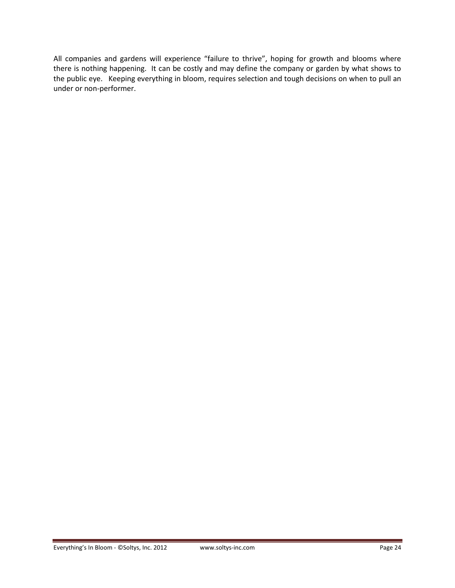All companies and gardens will experience "failure to thrive", hoping for growth and blooms where there is nothing happening. It can be costly and may define the company or garden by what shows to the public eye. Keeping everything in bloom, requires selection and tough decisions on when to pull an under or non-performer.